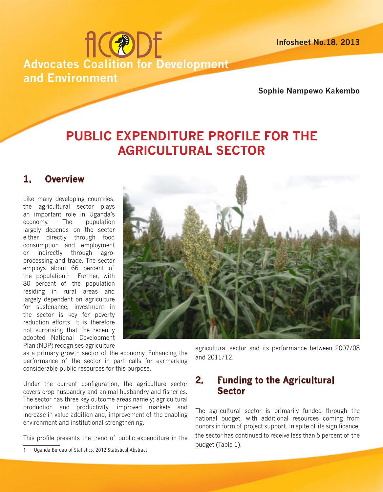**Infosheet No.18, 2013**

# **fic®DE Advocates Coalition for Development and Environment**

**Sophie Nampewo Kakembo**

## **PUBLIC EXPENDITURE PROFILE FOR THE AGRICULTURAL SECTOR**

## **1. Overview**

Like many developing countries, the agricultural sector plays an important role in Uganda's economy. The population largely depends on the sector either directly through food consumption and employment or indirectly through agroprocessing and trade. The sector employs about 66 percent of the population. $1$  Further, with 80 percent of the population residing in rural areas and largely dependent on agriculture for sustenance, investment in the sector is key for poverty reduction efforts. It is therefore not surprising that the recently adopted National Development Plan (NDP) recognises agriculture



as a primary growth sector of the economy. Enhancing the performance of the sector in part calls for earmarking considerable public resources for this purpose.

Under the current configuration, the agriculture sector covers crop husbandry and animal husbandry and fisheries. The sector has three key outcome areas namely; agricultural production and productivity, improved markets and increase in value addition and, improvement of the enabling environment and institutional strengthening.

This profile presents the trend of public expenditure in the

agricultural sector and its performance between 2007/08 and 2011/12.

## **2. Funding to the Agricultural Sector**

The agricultural sector is primarily funded through the national budget, with additional resources coming from donors in form of project support. In spite of its significance, the sector has continued to receive less than 5 percent of the budget (Table 1).

<sup>1</sup> Uganda Bureau of Statistics, 2012 Statistical Abstract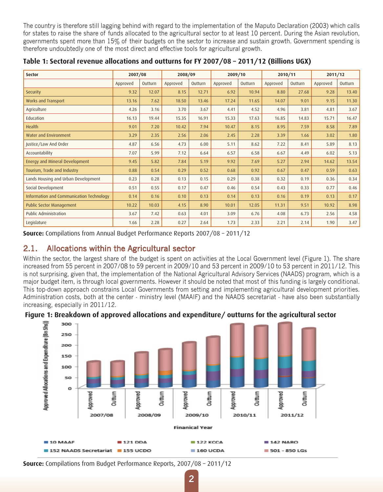The country is therefore still lagging behind with regard to the implementation of the Maputo Declaration (2003) which calls for states to raise the share of funds allocated to the agricultural sector to at least 10 percent. During the Asian revolution, governments spent more than 15% of their budgets on the sector to increase and sustain growth. Government spending is therefore undoubtedly one of the most direct and effective tools for agricultural growth.

| <b>Sector</b>                            | 2007/08  |         | 2008/09  |         | 2009/10  |         | 2010/11  |         | 2011/12  |         |
|------------------------------------------|----------|---------|----------|---------|----------|---------|----------|---------|----------|---------|
|                                          | Approved | Outturn | Approved | Outturn | Approved | Outturn | Approved | Outturn | Approved | Outturn |
| Security                                 | 9.32     | 12.07   | 8.15     | 12.71   | 6.92     | 10.94   | 8.80     | 27.68   | 9.28     | 13.40   |
| Works and Transport                      | 13.16    | 7.62    | 18.50    | 13.46   | 17.24    | 11.65   | 14.07    | 9.01    | 9.15     | 11.30   |
| Agriculture                              | 4.26     | 3.16    | 3.70     | 3.67    | 4.41     | 4.52    | 4.96     | 3.81    | 4.81     | 3.67    |
| Education                                | 16.13    | 19.44   | 15.35    | 16.91   | 15.33    | 17.63   | 16.85    | 14.83   | 15.71    | 16.47   |
| <b>Health</b>                            | 9.01     | 7.20    | 10.42    | 7.94    | 10.47    | 8.15    | 8.95     | 7.59    | 8.58     | 7.89    |
| Water and Environment                    | 3.29     | 2.35    | 2.56     | 2.06    | 2.45     | 2.28    | 3.39     | 1.66    | 3.02     | 1.80    |
| Justice/Law And Order                    | 4.87     | 6.56    | 4.73     | 6.00    | 5.11     | 8.62    | 7.22     | 8.41    | 5.89     | 8.13    |
| Accountability                           | 7.07     | 5.99    | 7.12     | 6.64    | 6.57     | 6.58    | 6.67     | 4.49    | 6.02     | 5.13    |
| Energy and Mineral Development           | 9.45     | 5.82    | 7.84     | 5.19    | 9.92     | 7.69    | 5.27     | 2.94    | 14.62    | 13.54   |
| Tourism, Trade and Industry              | 0.88     | 0.54    | 0.29     | 0.52    | 0.68     | 0.92    | 0.67     | 0.47    | 0.59     | 0.63    |
| Lands Housing and Urban Development      | 0.23     | 0.28    | 0.13     | 0.15    | 0.29     | 0.38    | 0.32     | 0.19    | 0.36     | 0.34    |
| Social Development                       | 0.51     | 0.55    | 0.17     | 0.47    | 0.46     | 0.54    | 0.43     | 0.33    | 0.77     | 0.46    |
| Information and Communication Technology | 0.14     | 0.16    | 0.10     | 0.13    | 0.14     | 0.13    | 0.16     | 0.19    | 0.13     | 0.17    |
| <b>Public Sector Management</b>          | 10.22    | 10.03   | 4.15     | 8.90    | 10.01    | 12.05   | 11.31    | 9.51    | 10.92    | 8.98    |
| Public Administration                    | 3.67     | 7.42    | 0.63     | 4.01    | 3.09     | 6.76    | 4.08     | 6.73    | 2.56     | 4.58    |
| Legislature                              | 1.66     | 2.28    | 0.27     | 2.64    | 1.73     | 2.33    | 2.21     | 2.14    | 1.90     | 3.47    |

**Table 1: Sectoral revenue allocations and outturns for FY 2007/08 – 2011/12 (Billions UGX)**

**Source:** Compilations from Annual Budget Performance Reports 2007/08 – 2011/12

#### 2.1. Allocations within the Agricultural sector

Within the sector, the largest share of the budget is spent on activities at the Local Government level (Figure 1). The share increased from 55 percent in 2007/08 to 59 percent in 2009/10 and 53 percent in 2009/10 to 53 percent in 2011/12. This is not surprising, given that, the implementation of the National Agricultural Advisory Services (NAADS) program, which is a major budget item, is through local governments. However it should be noted that most of this funding is largely conditional. This top-down approach constrains Local Governments from setting and implementing agricultural development priorities. Administration costs, both at the center - ministry level (MAAIF) and the NAADS secretariat - have also been substantially increasing, especially in 2011/12.





**Source:** Compilations from Budget Performance Reports, 2007/08 – 2011/12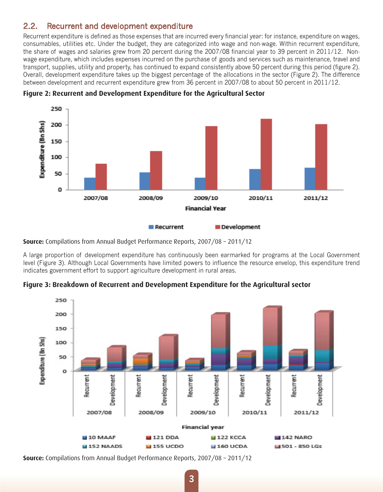### 2.2. Recurrent and development expenditure

Recurrent expenditure is defined as those expenses that are incurred every financial year: for instance, expenditure on wages, consumables, utilities etc. Under the budget, they are categorized into wage and non-wage. Within recurrent expenditure, the share of wages and salaries grew from 20 percent during the 2007/08 financial year to 39 percent in 2011/12. Nonwage expenditure, which includes expenses incurred on the purchase of goods and services such as maintenance, travel and transport, supplies, utility and property, has continued to expand consistently above 50 percent during this period (figure 2). Overall, development expenditure takes up the biggest percentage of the allocations in the sector (Figure 2). The difference between development and recurrent expenditure grew from 36 percent in 2007/08 to about 50 percent in 2011/12.





**Source:** Compilations from Annual Budget Performance Reports, 2007/08 – 2011/12

A large proportion of development expenditure has continuously been earmarked for programs at the Local Government level (Figure 3). Although Local Governments have limited powers to influence the resource envelop, this expenditure trend indicates government effort to support agriculture development in rural areas.

**Figure 3: Breakdown of Recurrent and Development Expenditure for the Agricultural sector** 



**Source:** Compilations from Annual Budget Performance Reports, 2007/08 – 2011/12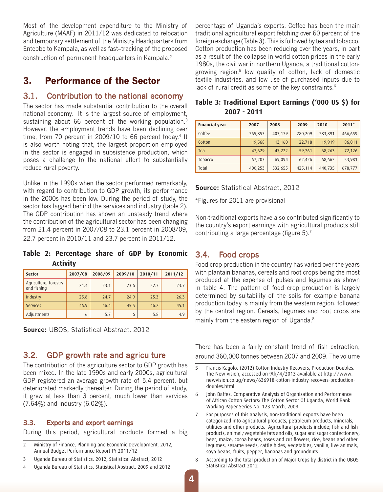Most of the development expenditure to the Ministry of Agriculture (MAAF) in 2011/12 was dedicated to relocation and temporary settlement of the Ministry Headquarters from Entebbe to Kampala, as well as fast–tracking of the proposed construction of permanent headquarters in Kampala.2

## **3. Performance of the Sector**

#### 3.1. Contribution to the national economy

The sector has made substantial contribution to the overall national economy. It is the largest source of employment, sustaining about 66 percent of the working population.<sup>3</sup> However, the employment trends have been declining over time, from 70 percent in 2009/10 to 66 percent today.<sup>4</sup> It is also worth noting that, the largest proportion employed in the sector is engaged in subsistence production, which poses a challenge to the national effort to substantially reduce rural poverty.

Unlike in the 1990s when the sector performed remarkably, with regard to contribution to GDP growth, its performance in the 2000s has been low. During the period of study, the sector has lagged behind the services and industry (table 2). The GDP contribution has shown an unsteady trend where the contribution of the agricultural sector has been changing from 21.4 percent in 2007/08 to 23.1 percent in 2008/09, 22.7 percent in 2010/11 and 23.7 percent in 2011/12.

**Table 2: Percentage share of GDP by Economic Activity**

| <b>Sector</b>                        | 2007/08 | 2008/09 | 2009/10 | 2010/11 | 2011/12 |
|--------------------------------------|---------|---------|---------|---------|---------|
| Agriculture, forestry<br>and fishing | 21.4    | 23.1    | 23.6    | 22.7    | 23.7    |
| Industry                             | 25.8    | 24.7    | 24.9    | 25.3    | 26.3    |
| <b>Services</b>                      | 46.9    | 46.4    | 45.5    | 46.2    | 45.1    |
| Adjustments                          | 6       | 5.7     | 6       | 5.8     | 4.9     |

**Source:** UBOS, Statistical Abstract, 2012

#### 3.2. GDP growth rate and agriculture

The contribution of the agriculture sector to GDP growth has been mixed. In the late 1990s and early 2000s, agricultural GDP registered an average growth rate of 5.4 percent, but deteriorated markedly thereafter. During the period of study, it grew at less than 3 percent, much lower than services (7.64%) and industry (6.02%).

#### 3.3. Exports and export earnings

During this period, agricultural products formed a big

- 2 Ministry of Finance, Planning and Economic Development, 2012, Annual Budget Performance Report FY 2011/12
- 3 Uganda Bureau of Statistics, 2012, Statistical Abstract, 2012
- 4 Uganda Bureau of Statistics, Statistical Abstract, 2009 and 2012

percentage of Uganda's exports. Coffee has been the main traditional agricultural export fetching over 60 percent of the foreign exchange (Table 3). This is followed by tea and tobacco. Cotton production has been reducing over the years, in part as a result of the collapse in world cotton prices in the early 1980s, the civil war in northern Uganda, a traditional cottongrowing region,<sup>5</sup> low quality of cotton, lack of domestic textile industries, and low use of purchased inputs due to lack of rural credit as some of the key constraints.<sup>6</sup>

| <b>Financial year</b> | 2007    | 2008    | 2009    | 2010    | $2011*$ |
|-----------------------|---------|---------|---------|---------|---------|
| Coffee                | 265,853 | 403,179 | 280,209 | 283,891 | 466,659 |
| Cotton                | 19,568  | 13,160  | 22,718  | 19,919  | 86,011  |
| Tea                   | 47,629  | 47,222  | 59,761  | 68,263  | 72,126  |
| Tobacco               | 67,203  | 69,094  | 62,426  | 68,662  | 53,981  |
| Total                 | 400,253 | 532,655 | 425,114 | 440,735 | 678,777 |

#### **Table 3: Traditional Export Earnings ('000 US \$) for 2007 - 2011**

#### **Source:** Statistical Abstract, 2012

\*Figures for 2011 are provisional

Non-traditional exports have also contributed significantly to the country's export earnings with agricultural products still contributing a large percentage (figure 5).7

#### 3.4. Food crops

Food crop production in the country has varied over the years with plantain bananas, cereals and root crops being the most produced at the expense of pulses and legumes as shown in table 4. The pattern of food crop production is largely determined by suitability of the soils for example banana production today is mainly from the western region, followed by the central region. Cereals, legumes and root crops are mainly from the eastern region of Uganda.<sup>8</sup>

There has been a fairly constant trend of fish extraction, around 360,000 tonnes between 2007 and 2009. The volume

- 5 Francis Kagolo, (2012) Cotton Industry Recovers, Production Doubles. The New vision, accessed on 9th/4/2013 available at http://www. newvision.co.ug/news/636918-cotton-industry-recovers-productiondoubles.html
- 6 John Baffes, Comparative Analysis of Organization and Performance of African Cotton Sectors: The Cotton Sector Of Uganda, World Bank Working Paper Series No. 123 March, 2009
- 7 For purposes of this analysis, non-traditional exports have been categorized into agricultural products, petroleum products, minerals, utilities and other products. Agricultural products include; fish and fish products, animal/vegetable fats and oils, sugar and sugar confectionery, beer, maize, cocoa beans, roses and cut flowers, rice, beans and other legumes, sesame seeds, cattle hides, vegetables, vanilla, live animals, soya beans, fruits, pepper, bananas and groundnuts
- 8 According to the total production of Major Crops by district in the UBOS Statistical Abstract 2012

**4**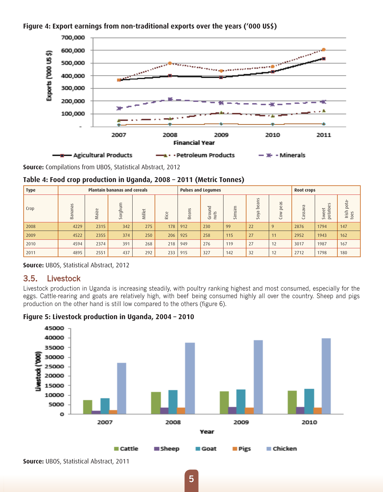



**Source:** Compilations from UBOS, Statistical Abstract, 2012

#### **Table 4: Food crop production in Uganda, 2008 – 2011 (Metric Tonnes)**

| <b>Type</b> | <b>Plantain bananas and cereals</b> |       |         |        | <b>Pulses and Legumes</b>                 |                                      |                                                                               |                              |                                                                      | Root crops                                           |                                             |                                                                                                                               |                                                            |
|-------------|-------------------------------------|-------|---------|--------|-------------------------------------------|--------------------------------------|-------------------------------------------------------------------------------|------------------------------|----------------------------------------------------------------------|------------------------------------------------------|---------------------------------------------|-------------------------------------------------------------------------------------------------------------------------------|------------------------------------------------------------|
| Crop        | Bananas                             | Maize | Sorghum | Millet | $\omega$<br>$\cup$<br>$\overline{\alpha}$ | $\sim$<br>c<br><b>GG</b><br>$\infty$ | $\overline{\phantom{m}}$<br>=<br>$\Rightarrow$<br>$\sim$<br>$\circ$<br>Ë<br>Ğ | E.<br>$\sim$<br>E.<br>$\sim$ | $\sim$<br>č<br>$\overline{\sigma}$<br>$\omega$<br>غ<br>pyo<br>$\sim$ | SC<br>$\omega$<br>$\Omega$<br>≷<br>$\circ$<br>$\cup$ | G<br>$\geq$<br>$\sigma$<br>$\sim$<br>æ<br>ت | $\sim$<br>ω<br>$\circ$<br>$\overline{\phantom{0}}$<br>$\omega$<br>능<br>$\omega$<br>$\geq$<br>$\overline{P}$<br>$\overline{S}$ | $^{0}$<br>$\sim$<br>Irish<br>$\sim$<br>Ü<br>$\overline{c}$ |
| 2008        | 4229                                | 2315  | 342     | 275    | 178                                       | 912                                  | 230                                                                           | 99                           | 22                                                                   | 9                                                    | 2876                                        | 1794                                                                                                                          | 147                                                        |
| 2009        | 4522                                | 2355  | 374     | 250    | 206                                       | 925                                  | 258                                                                           | 115                          | 27                                                                   | 11                                                   | 2952                                        | 1943                                                                                                                          | 162                                                        |
| 2010        | 4594                                | 2374  | 391     | 268    | 218                                       | 949                                  | 276                                                                           | 119                          | 27                                                                   | 12                                                   | 3017                                        | 1987                                                                                                                          | 167                                                        |
| 2011        | 4895                                | 2551  | 437     | 292    | 233                                       | 915                                  | 327                                                                           | 142                          | 32                                                                   | 12                                                   | 2712                                        | 1798                                                                                                                          | 180                                                        |

#### **Source:** UBOS, Statistical Abstract, 2012

#### 3.5. Livestock

Livestock production in Uganda is increasing steadily, with poultry ranking highest and most consumed, especially for the eggs. Cattle-rearing and goats are relatively high, with beef being consumed highly all over the country. Sheep and pigs production on the other hand is still low compared to the others (figure 6).



**Figure 5: Livestock production in Uganda, 2004 – 2010**

**Source:** UBOS, Statistical Abstract, 2011